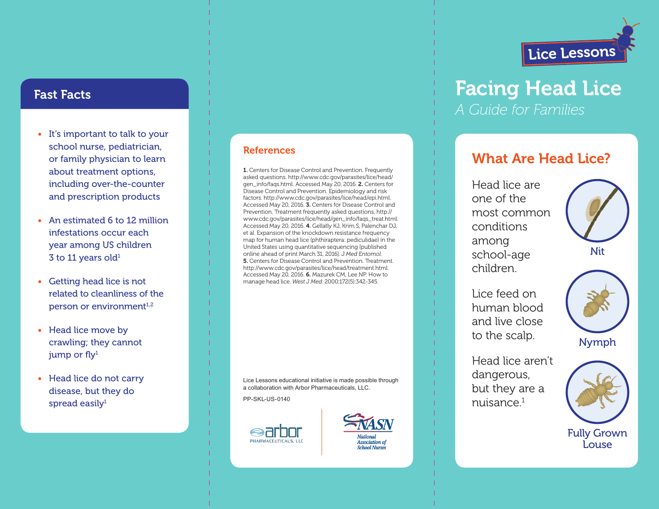

# Facing Head Lice *A Guide for Families*

# What Are Head Lice?

Head lice are one of the most common conditions among school-age children.

Lice feed on human blood and live close to the scalp.



Nymph

Head lice aren't dangerous, but they are a  $nujs$ ance $1$ 





Fully Grown Louse

## Fast Facts

- It's important to talk to your school nurse, pediatrician, or family physician to learn about treatment options, including over-the-counter and prescription products
- An estimated 6 to 12 million infestations occur each year among US children  $3$  to 11 years old<sup>1</sup>
- Getting head lice is not related to cleanliness of the person or environment<sup>1,2</sup>
- Head lice move by crawling; they cannot jump or  $fly<sup>1</sup>$
- Head lice do not carry disease, but they do spread easily $1$

### **References**

1. Centers for Disease Control and Prevention. Frequently asked questions. http://www.cdc.gov/parasites/lice/head/ gen\_info/faqs.html. Accessed May 20, 2016. 2. Centers for Disease Control and Prevention. Epidemiology and risk factors. http://www.cdc.gov/parasites/lice/head/epi.html. Accessed May 20, 2016. 3. Centers for Disease Control and Prevention. Treatment frequently asked questions. http:// www.cdc.gov/parasites/lice/head/gen\_info/faqs\_treat.html. Accessed May 20, 2016. 4. Gellatly KJ, Krim S, Palenchar DJ, et al. Expansion of the knockdown resistance frequency map for human head lice (phthiraptera: pediculidae) in the United States using quantitative sequencing [published online ahead of print March 31, 2016]. *J Med Entomol*. 5. Centers for Disease Control and Prevention. Treatment. http://www.cdc.gov/parasites/lice/head/treatment.html. Accessed May 20, 2016. 6. Mazurek CM, Lee NP. How to manage head lice. *West J Med*. 2000;172(5):342-345.

Lice Lessons educational initiative is made possible through a collaboration with Arbor Pharmaceuticals, LLC. PP-SKL-US-0140